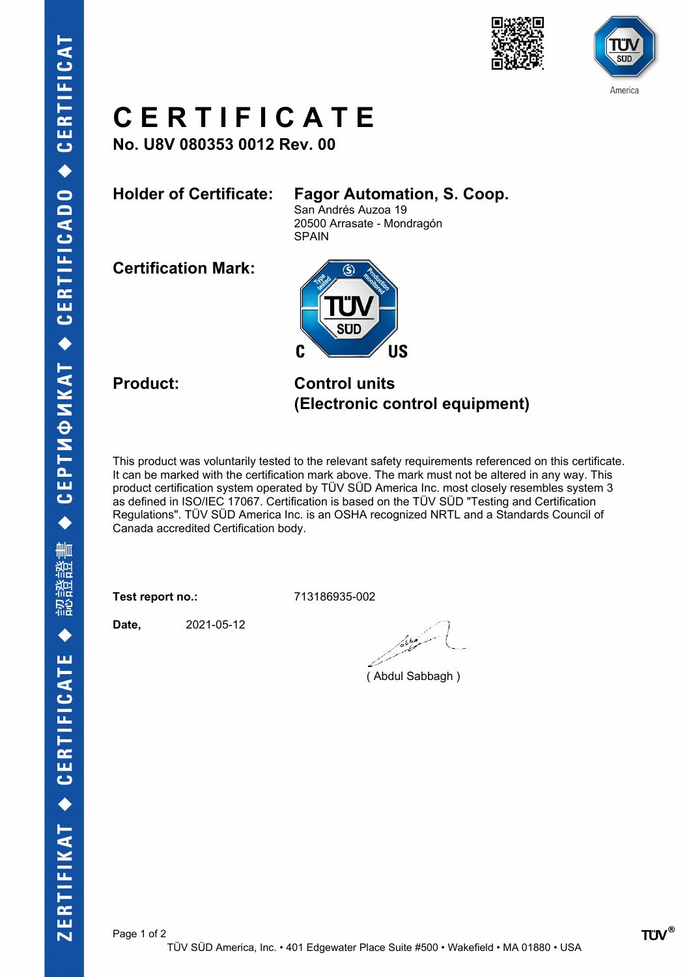



# **C E R T I F I C A T E**

**No. U8V 080353 0012 Rev. 00**

## **Holder of Certificate: Fagor Automation, S. Coop.**

San Andrés Auzoa 19 20500 Arrasate - Mondragón SPAIN

**Certification Mark:**



**Product: Control units (Electronic control equipment)**

This product was voluntarily tested to the relevant safety requirements referenced on this certificate. It can be marked with the certification mark above. The mark must not be altered in any way. This product certification system operated by TÜV SÜD America Inc. most closely resembles system 3 as defined in ISO/IEC 17067. Certification is based on the TÜV SÜD "Testing and Certification Regulations". TÜV SÜD America Inc. is an OSHA recognized NRTL and a Standards Council of Canada accredited Certification body.

**Test report no.:** 713186935-002

**Date,** 2021-05-12

مسكوكا

( Abdul Sabbagh )